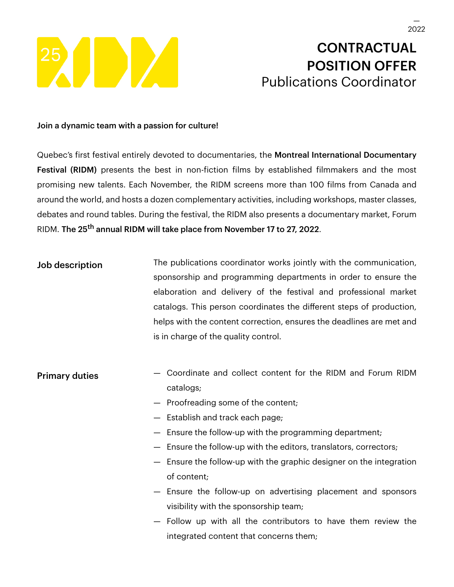

# **CONTRACTUAL** POSITION OFFER Publications Coordinator

### Join a dynamic team with a passion for culture!

Quebec's first festival entirely devoted to documentaries, the Montreal International Documentary Festival (RIDM) presents the best in non-fiction films by established filmmakers and the most promising new talents. Each November, the RIDM screens more than 100 films from Canada and around the world, and hosts a dozen complementary activities, including workshops, master classes, debates and round tables. During the festival, the RIDM also presents a documentary market, Forum RIDM. The 25<sup>th</sup> annual RIDM will take place from November 17 to 27, 2022.

Job description The publications coordinator works jointly with the communication, sponsorship and programming departments in order to ensure the elaboration and delivery of the festival and professional market catalogs. This person coordinates the different steps of production, helps with the content correction, ensures the deadlines are met and is in charge of the quality control.

# **Primary duties** – Coordinate and collect content for the RIDM and Forum RIDM catalogs;

- Proofreading some of the content;
- Establish and track each page;
- Ensure the follow-up with the programming department;
- Ensure the follow-up with the editors, translators, correctors;
- Ensure the follow-up with the graphic designer on the integration of content;
- Ensure the follow-up on advertising placement and sponsors visibility with the sponsorship team;
- Follow up with all the contributors to have them review the integrated content that concerns them;